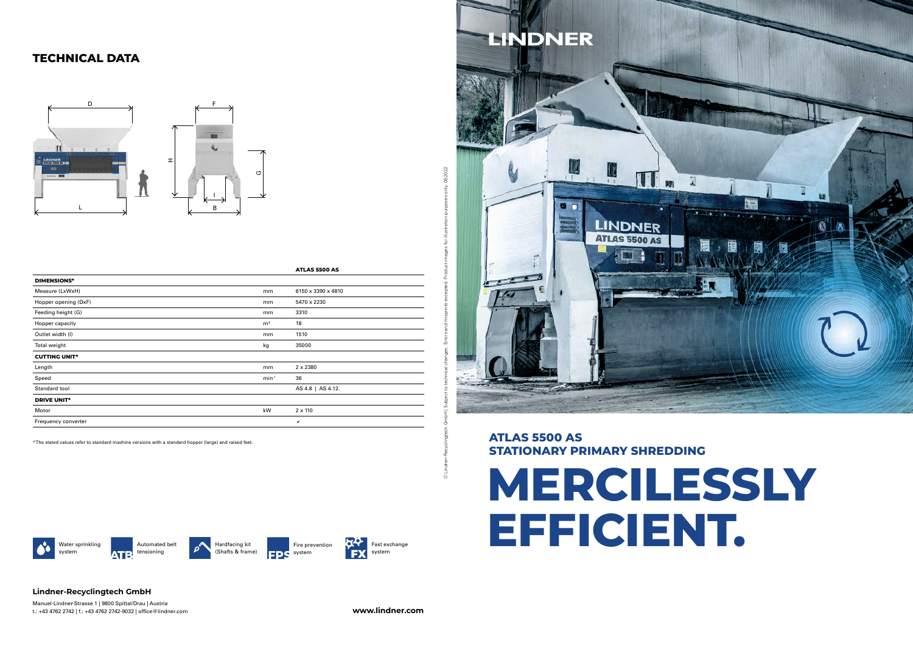

## **ATLAS 5500 AS STATIONARY PRIMARY SHREDDING**

#### **Lindner-Recyclingtech GmbH**

Manuel-Lindner-Strasse 1 | 9800 Spittal/Drau | Austria t.: +43 4762 2742 | f.: +43 4762 2742-9032 | office@lindner.com **www.lindner.com**



Fire prevention **EDS** system

# **TECHNICAL DATA**



**LINDNER** 脚 LINDNER **ATLAS 5500 AS** 





Hardfacing kit (Shafts & frame)

**ATP** tensioning Water sprinkling system

|                      |                | ATLAS 5500 AS      |
|----------------------|----------------|--------------------|
| <b>DIMENSIONS*</b>   |                |                    |
| Measure (LxWxH)      | mm             | 6150 x 3390 x 4810 |
| Hopper opening (DxF) | mm             | 5470 x 2230        |
| Feeding height (G)   | mm             | 3310               |
| Hopper capacity      | m <sup>3</sup> | 18                 |
| Outlet width (I)     | mm             | 1510               |
| Total weight         | kg             | 35000              |
| <b>CUTTING UNIT*</b> |                |                    |
| Length               | mm             | $2 \times 2380$    |
| Speed                | $min^{-1}$     | 36                 |
| Standard tool        |                | AS 4.8   AS 4.12.  |
| <b>DRIVE UNIT*</b>   |                |                    |
| Motor                | kW             | $2 \times 110$     |
| Frequency converter  |                | $\checkmark$       |

\* The stated values refer to standard machine versions with a standard hopper (large) and raised feet.

© Lindner-Recyclingtech GmbH | Subject to technical changes. Errors and misprints excepted. Product images for illustration purposes only. 052022

052022

oses only.

purp

ation

ited. Product images for